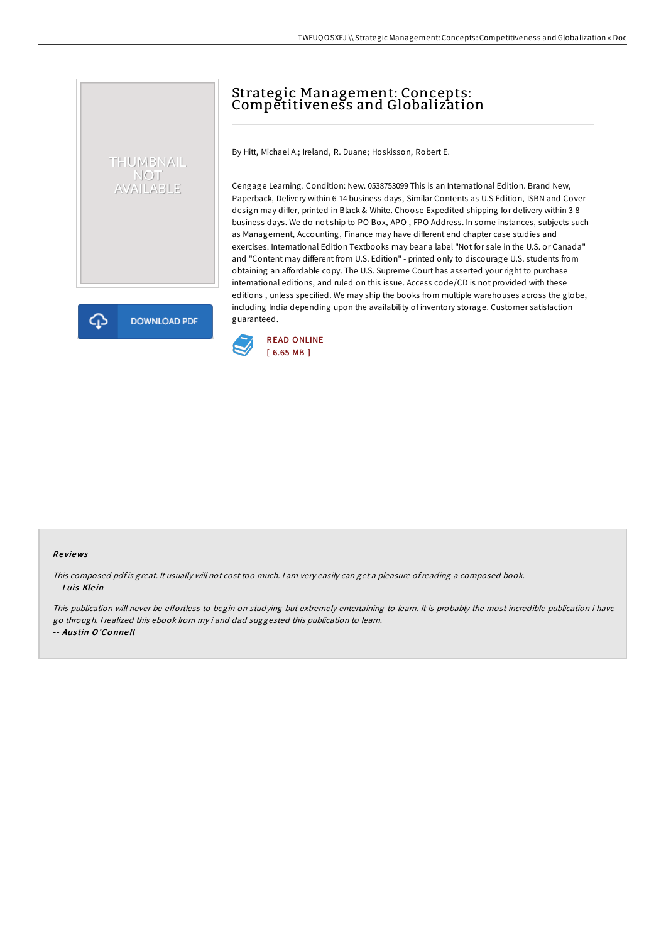# Strategic Management: Concepts: Competitiveness and Globalization

By Hitt, Michael A.; Ireland, R. Duane; Hoskisson, Robert E.

Cengage Learning. Condition: New. 0538753099 This is an International Edition. Brand New, Paperback, Delivery within 6-14 business days, Similar Contents as U.S Edition, ISBN and Cover design may differ, printed in Black & White. Choose Expedited shipping for delivery within 3-8 business days. We do not ship to PO Box, APO , FPO Address. In some instances, subjects such as Management, Accounting, Finance may have different end chapter case studies and exercises. International Edition Textbooks may bear a label "Not for sale in the U.S. or Canada" and "Content may different from U.S. Edition" - printed only to discourage U.S. students from obtaining an affordable copy. The U.S. Supreme Court has asserted your right to purchase international editions, and ruled on this issue. Access code/CD is not provided with these editions , unless specified. We may ship the books from multiple warehouses across the globe, including India depending upon the availability of inventory storage. Customer satisfaction guaranteed.



#### Re views

THUMBNAIL NOT<br>AVAILABLE

**DOWNLOAD PDF** 

This composed pdf is great. It usually will not cost too much. I am very easily can get a pleasure of reading a composed book. -- Luis Klein

This publication will never be effortless to begin on studying but extremely entertaining to learn. It is probably the most incredible publication i have go through. <sup>I</sup> realized this ebook from my i and dad suggested this publication to learn. -- Aus tin O'Co nne ll